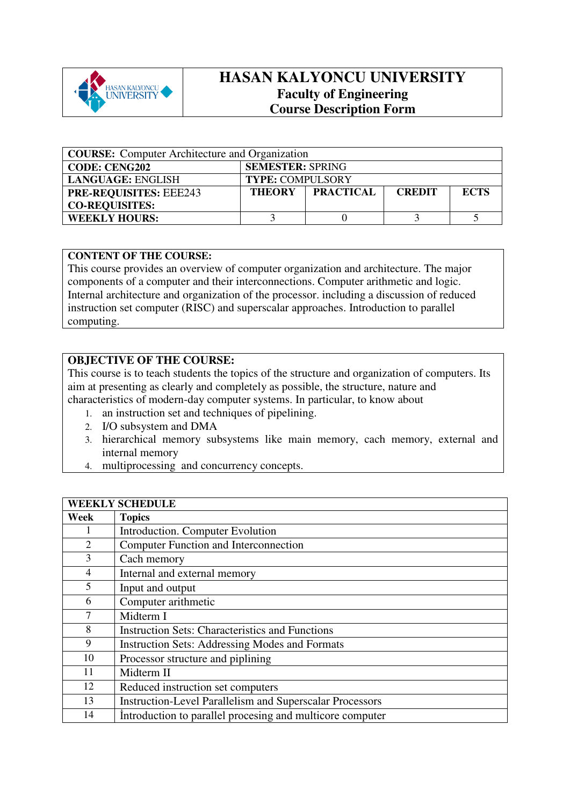

## **HASAN KALYONCU UNIVERSITY Faculty of Engineering Course Description Form**

| <b>COURSE:</b> Computer Architecture and Organization |                                                    |  |             |  |
|-------------------------------------------------------|----------------------------------------------------|--|-------------|--|
| <b>CODE: CENG202</b>                                  | <b>SEMESTER: SPRING</b>                            |  |             |  |
| <b>LANGUAGE: ENGLISH</b>                              | <b>TYPE: COMPULSORY</b>                            |  |             |  |
| <b>PRE-REQUISITES: EEE243</b>                         | <b>PRACTICAL</b><br><b>THEORY</b><br><b>CREDIT</b> |  | <b>ECTS</b> |  |
| <b>CO-REQUISITES:</b>                                 |                                                    |  |             |  |
| <b>WEEKLY HOURS:</b>                                  |                                                    |  |             |  |

## **CONTENT OF THE COURSE:**

This course provides an overview of computer organization and architecture. The major components of a computer and their interconnections. Computer arithmetic and logic. Internal architecture and organization of the processor. including a discussion of reduced instruction set computer (RISC) and superscalar approaches. Introduction to parallel computing.

## **OBJECTIVE OF THE COURSE:**

This course is to teach students the topics of the structure and organization of computers. Its aim at presenting as clearly and completely as possible, the structure, nature and characteristics of modern-day computer systems. In particular, to know about

- 1. an instruction set and techniques of pipelining.
- 2. I/O subsystem and DMA
- 3. hierarchical memory subsystems like main memory, cach memory, external and internal memory
- 4. multiprocessing and concurrency concepts.

| <b>WEEKLY SCHEDULE</b> |                                                                 |  |
|------------------------|-----------------------------------------------------------------|--|
| Week                   | <b>Topics</b>                                                   |  |
|                        | Introduction. Computer Evolution                                |  |
| 2                      | <b>Computer Function and Interconnection</b>                    |  |
| 3                      | Cach memory                                                     |  |
| $\overline{4}$         | Internal and external memory                                    |  |
| 5                      | Input and output                                                |  |
| 6                      | Computer arithmetic                                             |  |
| 7                      | Midterm I                                                       |  |
| 8                      | <b>Instruction Sets: Characteristics and Functions</b>          |  |
| 9                      | <b>Instruction Sets: Addressing Modes and Formats</b>           |  |
| 10                     | Processor structure and piplining                               |  |
| 11                     | Midterm II                                                      |  |
| 12                     | Reduced instruction set computers                               |  |
| 13                     | <b>Instruction-Level Parallelism and Superscalar Processors</b> |  |
| 14                     | Introduction to parallel procesing and multicore computer       |  |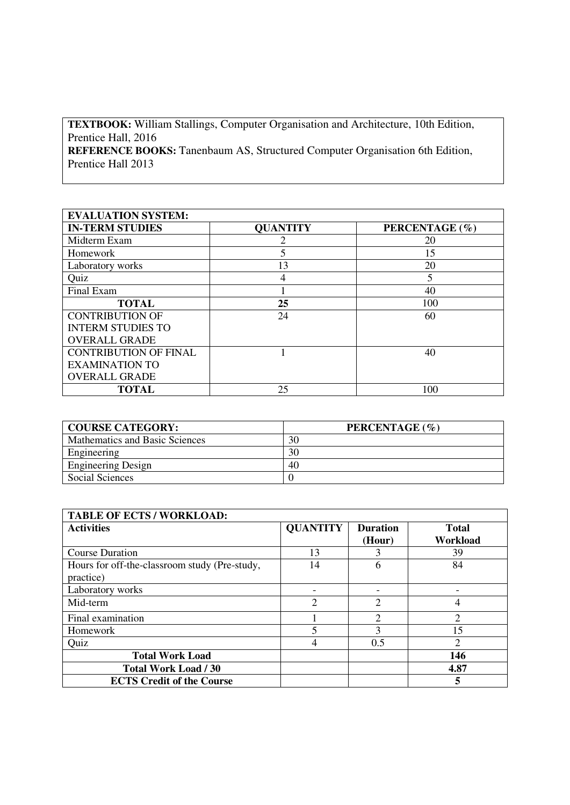**TEXTBOOK:** William Stallings, Computer Organisation and Architecture, 10th Edition, Prentice Hall, 2016 **REFERENCE BOOKS:** Tanenbaum AS, Structured Computer Organisation 6th Edition, Prentice Hall 2013

| <b>EVALUATION SYSTEM:</b>    |                 |                |  |  |  |
|------------------------------|-----------------|----------------|--|--|--|
| <b>IN-TERM STUDIES</b>       | <b>QUANTITY</b> | PERCENTAGE (%) |  |  |  |
| Midterm Exam                 | റ               | 20             |  |  |  |
| Homework                     | 5               | 15             |  |  |  |
| Laboratory works             | 13              | 20             |  |  |  |
| Quiz                         | 4               | 5              |  |  |  |
| Final Exam                   |                 | 40             |  |  |  |
| <b>TOTAL</b>                 | 25              | 100            |  |  |  |
| <b>CONTRIBUTION OF</b>       | 24              | 60             |  |  |  |
| <b>INTERM STUDIES TO</b>     |                 |                |  |  |  |
| <b>OVERALL GRADE</b>         |                 |                |  |  |  |
| <b>CONTRIBUTION OF FINAL</b> |                 | 40             |  |  |  |
| <b>EXAMINATION TO</b>        |                 |                |  |  |  |
| <b>OVERALL GRADE</b>         |                 |                |  |  |  |
| <b>TOTAL</b>                 | 25              | 100            |  |  |  |

| <b>COURSE CATEGORY:</b>        | PERCENTAGE (%) |
|--------------------------------|----------------|
| Mathematics and Basic Sciences | 30             |
| Engineering                    | 30             |
| <b>Engineering Design</b>      | 40             |
| Social Sciences                |                |

| <b>TABLE OF ECTS / WORKLOAD:</b>                           |                 |                             |                             |  |  |
|------------------------------------------------------------|-----------------|-----------------------------|-----------------------------|--|--|
| <b>Activities</b>                                          | <b>QUANTITY</b> | <b>Duration</b><br>(Hour)   | <b>Total</b><br>Workload    |  |  |
| <b>Course Duration</b>                                     | 13              |                             | 39                          |  |  |
| Hours for off-the-classroom study (Pre-study,<br>practice) | 14              | h                           | 84                          |  |  |
| Laboratory works                                           | ۰               |                             | ٠                           |  |  |
| Mid-term                                                   | $\overline{2}$  | $\overline{2}$              | 4                           |  |  |
| Final examination                                          |                 | $\mathcal{D}_{\mathcal{L}}$ | 2                           |  |  |
| <b>Homework</b>                                            | 5               | 3                           | 15                          |  |  |
| Quiz                                                       | 4               | 0.5                         | $\mathcal{D}_{\mathcal{L}}$ |  |  |
| <b>Total Work Load</b>                                     |                 |                             | 146                         |  |  |
| Total Work Load / 30                                       |                 |                             | 4.87                        |  |  |
| <b>ECTS Credit of the Course</b>                           |                 |                             | 5                           |  |  |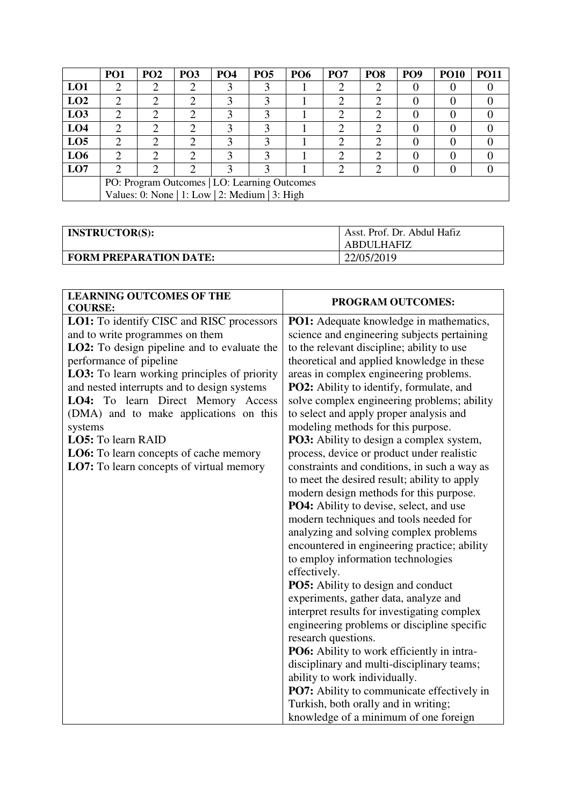|                 | PO <sub>1</sub>                                | PO <sub>2</sub> | PO <sub>3</sub> | <b>PO4</b> | PO <sub>5</sub> | <b>PO6</b> | PO <sub>7</sub> | PO <sub>8</sub> | PO <sub>9</sub> | <b>PO10</b>    | <b>PO11</b> |
|-----------------|------------------------------------------------|-----------------|-----------------|------------|-----------------|------------|-----------------|-----------------|-----------------|----------------|-------------|
| LO1             | ി                                              | ⌒               | ◠               | 3          | 3               |            | ി               | ി               |                 | $\theta$       |             |
| LO2             | ာ                                              | ⌒               | ◠               | 3          | 3               |            | ⌒               | ി               |                 | $\overline{0}$ |             |
| L <sub>03</sub> | ◠                                              | ◠               | ി               | 3          | 3               |            | ി               | ി               |                 | $\Omega$       |             |
| LO <sub>4</sub> | ◠                                              | ⌒               | ◠               | 3          | 3               |            |                 |                 |                 | $\Omega$       |             |
| LO <sub>5</sub> | $\mathcal{D}$                                  | ⌒               | ◠               | 3          | 3               |            | ി               |                 |                 | $\theta$       |             |
| LO <sub>6</sub> | ◠                                              | ◠               | ി               | 3          | 3               |            | ◠               | ി               |                 | $\Omega$       |             |
| LO7             | ⌒                                              | ◠               | ◠               | 3          | $\mathcal{F}$   |            | ∍               | ◠               |                 | $\theta$       |             |
|                 | PO: Program Outcomes   LO: Learning Outcomes   |                 |                 |            |                 |            |                 |                 |                 |                |             |
|                 | Values: 0: None   1: Low   2: Medium   3: High |                 |                 |            |                 |            |                 |                 |                 |                |             |

| <b>INSTRUCTOR(S):</b>         | Asst. Prof. Dr. Abdul Hafiz<br>ABDULHAFIZ |
|-------------------------------|-------------------------------------------|
| <b>FORM PREPARATION DATE:</b> | 22/05/2019                                |

| <b>LEARNING OUTCOMES OF THE</b><br><b>COURSE:</b>   | <b>PROGRAM OUTCOMES:</b>                          |
|-----------------------------------------------------|---------------------------------------------------|
| LO1: To identify CISC and RISC processors           | <b>PO1:</b> Adequate knowledge in mathematics,    |
| and to write programmes on them                     | science and engineering subjects pertaining       |
| LO2: To design pipeline and to evaluate the         | to the relevant discipline; ability to use        |
| performance of pipeline                             | theoretical and applied knowledge in these        |
| <b>LO3:</b> To learn working principles of priority | areas in complex engineering problems.            |
| and nested interrupts and to design systems         | PO2: Ability to identify, formulate, and          |
| LO4: To learn Direct Memory Access                  | solve complex engineering problems; ability       |
| (DMA) and to make applications on this              | to select and apply proper analysis and           |
| systems                                             | modeling methods for this purpose.                |
| LO5: To learn RAID                                  | <b>PO3:</b> Ability to design a complex system,   |
| LO6: To learn concepts of cache memory              | process, device or product under realistic        |
| LO7: To learn concepts of virtual memory            | constraints and conditions, in such a way as      |
|                                                     | to meet the desired result; ability to apply      |
|                                                     | modern design methods for this purpose.           |
|                                                     | PO4: Ability to devise, select, and use           |
|                                                     | modern techniques and tools needed for            |
|                                                     | analyzing and solving complex problems            |
|                                                     | encountered in engineering practice; ability      |
|                                                     | to employ information technologies                |
|                                                     | effectively.                                      |
|                                                     | PO5: Ability to design and conduct                |
|                                                     | experiments, gather data, analyze and             |
|                                                     | interpret results for investigating complex       |
|                                                     | engineering problems or discipline specific       |
|                                                     | research questions.                               |
|                                                     | PO6: Ability to work efficiently in intra-        |
|                                                     | disciplinary and multi-disciplinary teams;        |
|                                                     | ability to work individually.                     |
|                                                     | <b>PO7:</b> Ability to communicate effectively in |
|                                                     | Turkish, both orally and in writing;              |
|                                                     | knowledge of a minimum of one foreign             |